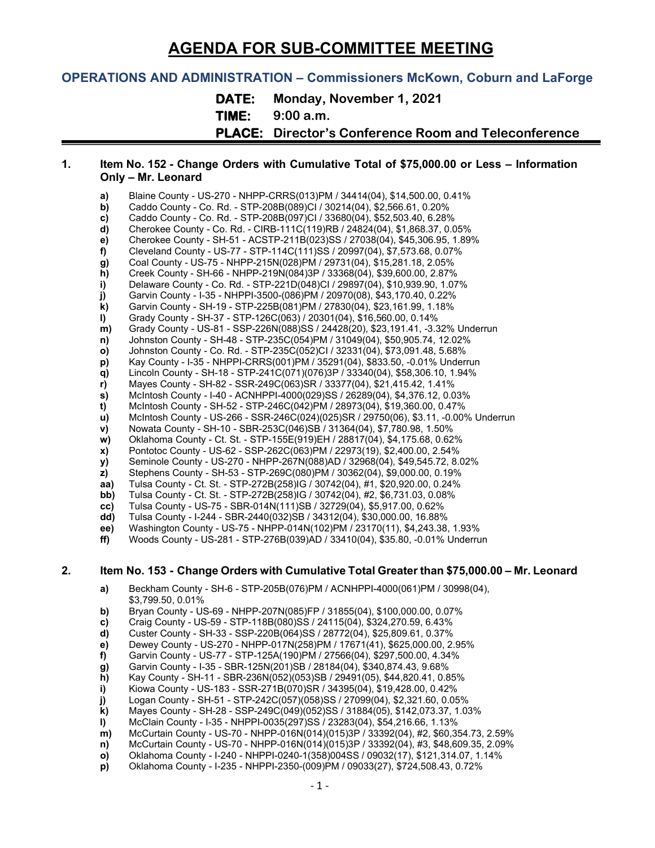# **AGENDA FOR SUB-COMMITTEE MEETING**

# **OPERATIONS AND ADMINISTRATION – Commissioners McKown, Coburn and LaForge**

**DATE: Monday, November 1, 2021**

**TIME: 9:00 a.m.**

**PLACE: Director's Conference Room and Teleconference**

#### **1. Item No. 152 - Change Orders with Cumulative Total of \$75,000.00 or Less – Information Only – Mr. Leonard**

- **a)** Blaine County US-270 NHPP-CRRS(013)PM / 34414(04), \$14,500.00, 0.41%<br>**b)** Caddo County Co. Rd. STP-208B(089)Cl / 30214(04), \$2,566.61, 0.20%
- **b)** Caddo County Co. Rd. STP-208B(089)CI / 30214(04), \$2,566.61, 0.20% c)<br>
Caddo County Co. Rd. STP-208B(097)CI / 33680(04), \$52,503.40, 6.28%
- **c)** Caddo County Co. Rd. STP-208B(097)CI / 33680(04), \$52,503.40, 6.28%
- **d)** Cherokee County Co. Rd. CIRB-111C(119)RB / 24824(04), \$1,868.37, 0.05%<br>**e)** Cherokee County SH-51 ACSTP-211B(023)SS / 27038(04), \$45,306.95, 1.899
- **e)** Cherokee County SH-51 ACSTP-211B(023)SS / 27038(04), \$45,306.95, 1.89% **f)** Cleveland County - US-77 - STP-114C(111)SS / 20997(04), \$7,573.68, 0.07%
- **g)** Coal County US-75 NHPP-215N(028)PM / 29731(04), \$15,281.18, 2.05%
- 
- **h)** Creek County SH-66 NHPP-219N(084)3P / 33368(04), \$39,600.00, 2.87%
- **i)** Delaware County Co. Rd. STP-221D(048)CI / 29897(04), \$10,939.90, 1.07%<br>**j)** Garvin County I-35 NHPPI-3500-(086)PM / 20970(08), \$43,170.40, 0.22%
- **j)** Garvin County I-35 NHPPI-3500-(086)PM / 20970(08), \$43,170.40, 0.22%
- **k)** Garvin County SH-19 STP-225B(081)PM / 27830(04), \$23,161.99, 1.18%
- **l)** Grady County SH-37 STP-126C(063) / 20301(04), \$16,560.00, 0.14% **m)** Grady County - US-81 - SSP-226N(088)SS / 24428(20), \$23,191.41, -3.32% Underrun
- **n)** Johnston County SH-48 STP-235C(054)PM / 31049(04), \$50,905.74, 12.02%
- **o)** Johnston County Co. Rd. STP-235C(052)CI / 32331(04), \$73,091.48, 5.68%
- **p)** Kay County I-35 NHPPI-CRRS(001)PM / 35291(04), \$833.50, -0.01% Underrun
- **q)** Lincoln County SH-18 STP-241C(071)(076)3P / 33340(04), \$58,306.10, 1.94%
- **r)** Mayes County SH-82 SSR-249C(063)SR / 33377(04), \$21,415.42, 1.41%
- **s)** McIntosh County I-40 ACNHPPI-4000(029)SS / 26289(04), \$4,376.12, 0.03%
- **t)** McIntosh County SH-52 STP-246C(042)PM / 28973(04), \$19,360.00, 0.47%
- **u)** McIntosh County US-266 SSR-246C(024)(025)SR / 29750(06), \$3.11, -0.00% Underrun
- **v)** Nowata County SH-10 SBR-253C(046)SB / 31364(04), \$7,780.98, 1.50%
- **w)** Oklahoma County Ct. St. STP-155E(919)EH / 28817(04), \$4,175.68, 0.62%
- **x)** Pontotoc County US-62 SSP-262C(063)PM / 22973(19), \$2,400.00, 2.54%<br> **y)** Seminole County US-270 NHPP-267N(088)AD / 32968(04), \$49,545.72, 8.0
- **y)** Seminole County US-270 NHPP-267N(088)AD / 32968(04), \$49,545.72, 8.02%
- **z)** Stephens County SH-53 STP-269C(080)PM / 30362(04), \$9,000.00, 0.19%<br>**aa)** Tulsa County Ct. St. STP-272B(258)IG / 30742(04), #1, \$20,920.00, 0.24%
- **aa)** Tulsa County Ct. St. STP-272B(258)IG / 30742(04), #1, \$20,920.00, 0.24%
- **bb)** Tulsa County Ct. St. STP-272B(258)IG / 30742(04), #2, \$6,731.03, 0.08% **cc)** Tulsa County US-75 SBR-014N(111)SB / 32729(04), \$5,917.00, 0.62%
- **cc)** Tulsa County US-75 SBR-014N(111)SB / 32729(04), \$5,917.00, 0.62%
- **dd)** Tulsa County I-244 SBR-2440(032)SB / 34312(04), \$30,000.00, 16.88%
- **ee)** Washington County US-75 NHPP-014N(102)PM / 23170(11), \$4,243.38, 1.93%
- **ff)** Woods County US-281 STP-276B(039)AD / 33410(04), \$35.80, -0.01% Underrun

#### **2. Item No. 153 - Change Orders with Cumulative Total Greater than \$75,000.00 – Mr. Leonard**

- **a)** Beckham County SH-6 STP-205B(076)PM / ACNHPPI-4000(061)PM / 30998(04), \$3,799.50, 0.01%
- **b)** Bryan County US-69 NHPP-207N(085)FP / 31855(04), \$100,000.00, 0.07%
- **c)** Craig County US-59 STP-118B(080)SS / 24115(04), \$324,270.59, 6.43%
- **d)** Custer County SH-33 SSP-220B(064)SS / 28772(04), \$25,809.61, 0.37%
- **e)** Dewey County US-270 NHPP-017N(258)PM / 17671(41), \$625,000.00, 2.95%
- **f)** Garvin County US-77 STP-125A(190)PM / 27566(04), \$297,500.00, 4.34%
- **g)** Garvin County I-35 SBR-125N(201)SB / 28184(04), \$340,874.43, 9.68%
- 
- **h)** Kay County SH-11 SBR-236N(052)(053)SB / 29491(05), \$44,820.41, 0.85% **i)** Kiowa County - US-183 - SSR-271B(070)SR / 34395(04), \$19,428.00, 0.42%
- **j)** Logan County SH-51 STP-242C(057)(058)SS / 27099(04), \$2,321.60, 0.05%
- **k)** Mayes County SH-28 SSP-249C(049)(052)SS / 31884(05), \$142,073.37, 1.03%
- **l)** McClain County I-35 NHPPI-0035(297)SS / 23283(04), \$54,216.66, 1.13%
- **m)** McCurtain County US-70 NHPP-016N(014)(015)3P / 33392(04), #2, \$60,354.73, 2.59%<br>**n)** McCurtain County US-70 NHPP-016N(014)(015)3P / 33392(04), #3, \$48,609.35, 2.09%
- **n)** McCurtain County US-70 NHPP-016N(014)(015)3P / 33392(04), #3, \$48,609.35, 2.09%<br>**o)** Oklahoma County I-240 NHPPI-0240-1(358)004SS / 09032(17), \$121,314.07, 1.14%
- **o)** Oklahoma County I-240 NHPPI-0240-1(358)004SS / 09032(17), \$121,314.07, 1.14%
- **p)** Oklahoma County I-235 NHPPI-2350-(009)PM / 09033(27), \$724,508.43, 0.72%